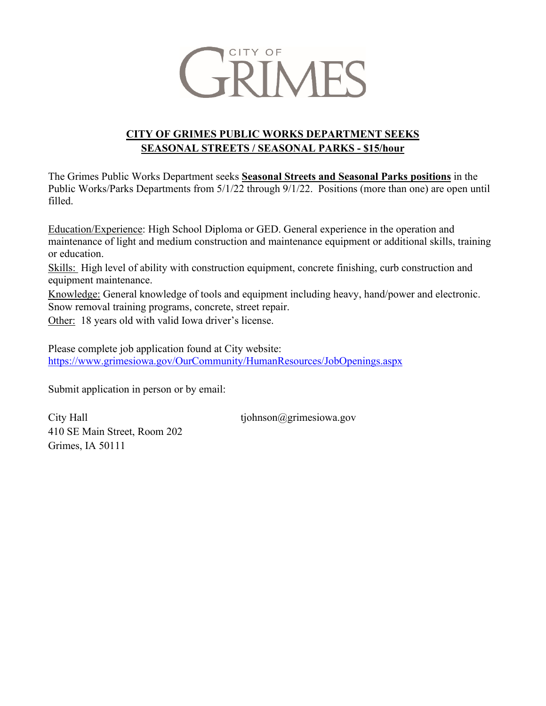

## **CITY OF GRIMES PUBLIC WORKS DEPARTMENT SEEKS SEASONAL STREETS / SEASONAL PARKS - \$15/hour**

The Grimes Public Works Department seeks **Seasonal Streets and Seasonal Parks positions** in the Public Works/Parks Departments from 5/1/22 through 9/1/22. Positions (more than one) are open until filled.

Education/Experience: High School Diploma or GED. General experience in the operation and maintenance of light and medium construction and maintenance equipment or additional skills, training or education.

Skills: High level of ability with construction equipment, concrete finishing, curb construction and equipment maintenance.

Knowledge: General knowledge of tools and equipment including heavy, hand/power and electronic. Snow removal training programs, concrete, street repair.

Other: 18 years old with valid Iowa driver's license.

Please complete job application found at City website: <https://www.grimesiowa.gov/OurCommunity/HumanResources/JobOpenings.aspx>

Submit application in person or by email:

City Hall  $\qquad \qquad \text{tiphnson}(\partial \text{grimesiowa.gov})$ 410 SE Main Street, Room 202 Grimes, IA 50111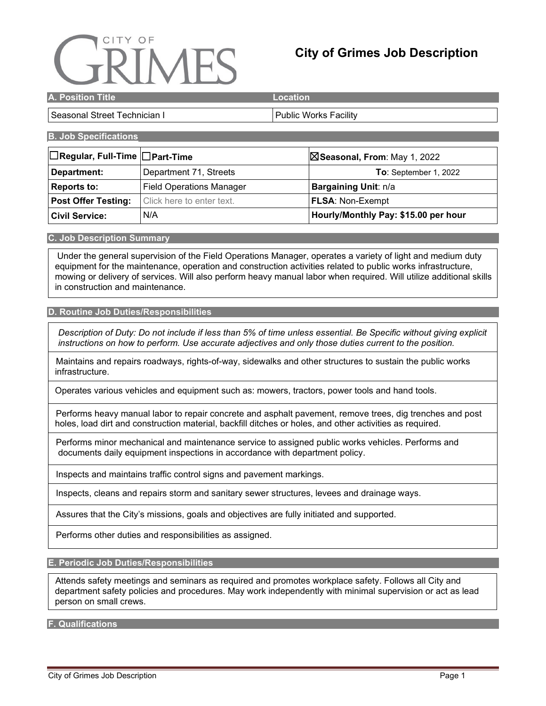# CITY OF

# **City of Grimes Job Description**

| <b>A. Position Title</b> | Location |
|--------------------------|----------|
|                          |          |

### Seasonal Street Technician I New Yorks Facility

### **B. Job Specifications**

| $\Box$ Regular, Full-Time $\Box$ Part-Time | $\boxtimes$ Seasonal, From: May 1, 2022 |                                      |  |
|--------------------------------------------|-----------------------------------------|--------------------------------------|--|
| Department:                                | Department 71, Streets                  | <b>To:</b> September 1, 2022         |  |
| Reports to:                                | <b>Field Operations Manager</b>         | Bargaining Unit: n/a                 |  |
| <b>Post Offer Testing:</b>                 | Click here to enter text.               | <b>FLSA: Non-Exempt</b>              |  |
| <b>Civil Service:</b>                      | N/A                                     | Hourly/Monthly Pay: \$15.00 per hour |  |

### **C. Job Description Summary**

Under the general supervision of the Field Operations Manager, operates a variety of light and medium duty equipment for the maintenance, operation and construction activities related to public works infrastructure, mowing or delivery of services. Will also perform heavy manual labor when required. Will utilize additional skills in construction and maintenance.

### **D. Routine Job Duties/Responsibilities**

*Description of Duty: Do not include if less than 5% of time unless essential. Be Specific without giving explicit instructions on how to perform. Use accurate adjectives and only those duties current to the position.*

 Maintains and repairs roadways, rights-of-way, sidewalks and other structures to sustain the public works infrastructure.

Operates various vehicles and equipment such as: mowers, tractors, power tools and hand tools.

 Performs heavy manual labor to repair concrete and asphalt pavement, remove trees, dig trenches and post holes, load dirt and construction material, backfill ditches or holes, and other activities as required.

 Performs minor mechanical and maintenance service to assigned public works vehicles. Performs and documents daily equipment inspections in accordance with department policy.

Inspects and maintains traffic control signs and pavement markings.

Inspects, cleans and repairs storm and sanitary sewer structures, levees and drainage ways.

Assures that the City's missions, goals and objectives are fully initiated and supported.

Performs other duties and responsibilities as assigned.

**E. Periodic Job Duties/Responsibilities**

 Attends safety meetings and seminars as required and promotes workplace safety. Follows all City and department safety policies and procedures. May work independently with minimal supervision or act as lead person on small crews.

**F. Qualifications**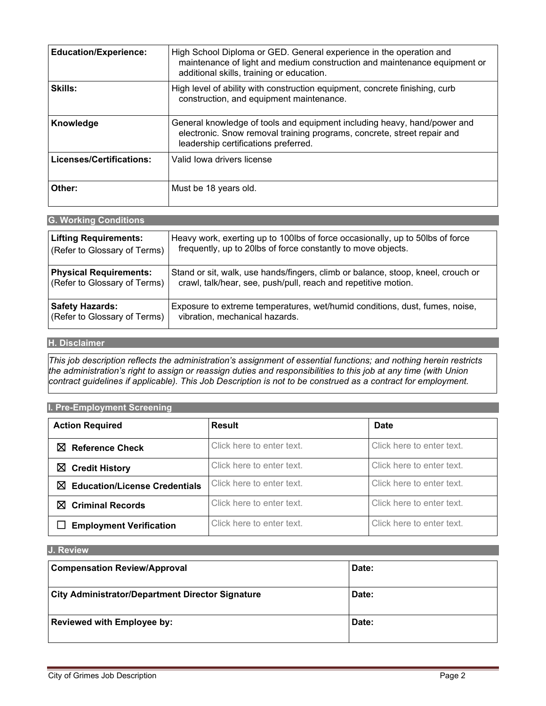| <b>Education/Experience:</b> | High School Diploma or GED. General experience in the operation and<br>maintenance of light and medium construction and maintenance equipment or<br>additional skills, training or education. |
|------------------------------|-----------------------------------------------------------------------------------------------------------------------------------------------------------------------------------------------|
| <b>Skills:</b>               | High level of ability with construction equipment, concrete finishing, curb<br>construction, and equipment maintenance.                                                                       |
| Knowledge                    | General knowledge of tools and equipment including heavy, hand/power and<br>electronic. Snow removal training programs, concrete, street repair and<br>leadership certifications preferred.   |
| Licenses/Certifications:     | Valid Iowa drivers license                                                                                                                                                                    |
| Other:                       | Must be 18 years old.                                                                                                                                                                         |

| <b>G. Working Conditions</b>  |                                                                                  |  |
|-------------------------------|----------------------------------------------------------------------------------|--|
| <b>Lifting Requirements:</b>  | Heavy work, exerting up to 100lbs of force occasionally, up to 50lbs of force    |  |
| (Refer to Glossary of Terms)  | frequently, up to 20lbs of force constantly to move objects.                     |  |
| <b>Physical Requirements:</b> | Stand or sit, walk, use hands/fingers, climb or balance, stoop, kneel, crouch or |  |
| (Refer to Glossary of Terms)  | crawl, talk/hear, see, push/pull, reach and repetitive motion.                   |  |
| <b>Safety Hazards:</b>        | Exposure to extreme temperatures, wet/humid conditions, dust, fumes, noise,      |  |
| (Refer to Glossary of Terms)  | vibration, mechanical hazards.                                                   |  |

### **H. Disclaimer**

*This job description reflects the administration's assignment of essential functions; and nothing herein restricts the administration's right to assign or reassign duties and responsibilities to this job at any time (with Union contract guidelines if applicable). This Job Description is not to be construed as a contract for employment.*

### **I. Pre-Employment Screening**

| <b>Action Required</b>                    | <b>Result</b>             | <b>Date</b>               |
|-------------------------------------------|---------------------------|---------------------------|
| ⊠<br><b>Reference Check</b>               | Click here to enter text. | Click here to enter text. |
| $\boxtimes$ Credit History                | Click here to enter text. | Click here to enter text. |
| ⊠<br><b>Education/License Credentials</b> | Click here to enter text. | Click here to enter text. |
| ⊠<br><b>Criminal Records</b>              | Click here to enter text. | Click here to enter text. |
| <b>Employment Verification</b>            | Click here to enter text. | Click here to enter text. |

### **J. Review**

| <b>Compensation Review/Approval</b>                     | Date: |
|---------------------------------------------------------|-------|
| <b>City Administrator/Department Director Signature</b> | Date: |
| <b>Reviewed with Employee by:</b>                       | Date: |